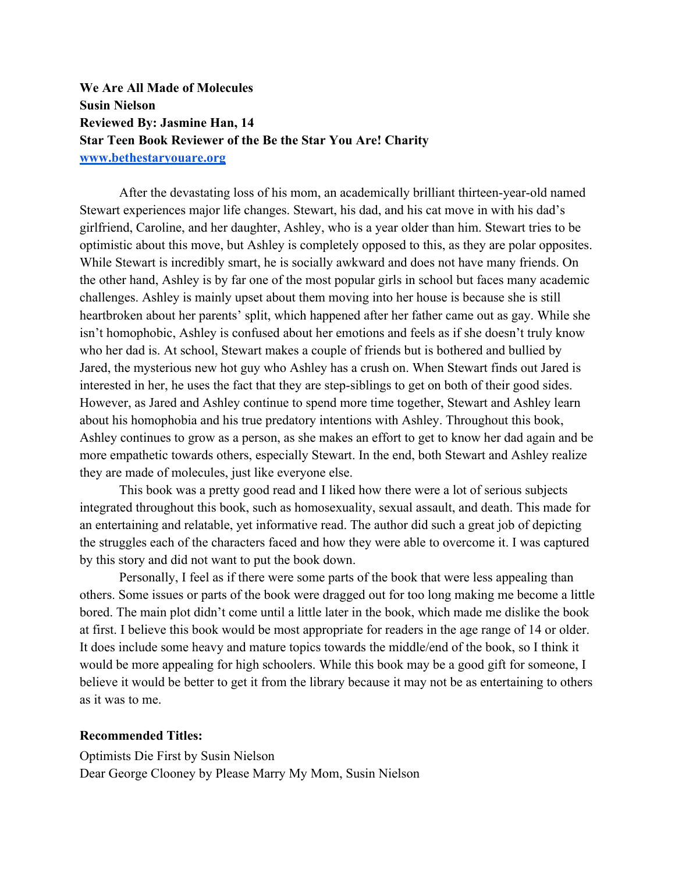**We Are All Made of Molecules Susin Nielson Reviewed By: Jasmine Han, 14 Star Teen Book Reviewer of the Be the Star You Are! Charity www.bethestaryouare.org**

After the devastating loss of his mom, an academically brilliant thirteen-year-old named Stewart experiences major life changes. Stewart, his dad, and his cat move in with his dad's girlfriend, Caroline, and her daughter, Ashley, who is a year older than him. Stewart tries to be optimistic about this move, but Ashley is completely opposed to this, as they are polar opposites. While Stewart is incredibly smart, he is socially awkward and does not have many friends. On the other hand, Ashley is by far one of the most popular girls in school but faces many academic challenges. Ashley is mainly upset about them moving into her house is because she is still heartbroken about her parents' split, which happened after her father came out as gay. While she isn't homophobic, Ashley is confused about her emotions and feels as if she doesn't truly know who her dad is. At school, Stewart makes a couple of friends but is bothered and bullied by Jared, the mysterious new hot guy who Ashley has a crush on. When Stewart finds out Jared is interested in her, he uses the fact that they are step-siblings to get on both of their good sides. However, as Jared and Ashley continue to spend more time together, Stewart and Ashley learn about his homophobia and his true predatory intentions with Ashley. Throughout this book, Ashley continues to grow as a person, as she makes an effort to get to know her dad again and be more empathetic towards others, especially Stewart. In the end, both Stewart and Ashley realize they are made of molecules, just like everyone else.

This book was a pretty good read and I liked how there were a lot of serious subjects integrated throughout this book, such as homosexuality, sexual assault, and death. This made for an entertaining and relatable, yet informative read. The author did such a great job of depicting the struggles each of the characters faced and how they were able to overcome it. I was captured by this story and did not want to put the book down.

Personally, I feel as if there were some parts of the book that were less appealing than others. Some issues or parts of the book were dragged out for too long making me become a little bored. The main plot didn't come until a little later in the book, which made me dislike the book at first. I believe this book would be most appropriate for readers in the age range of 14 or older. It does include some heavy and mature topics towards the middle/end of the book, so I think it would be more appealing for high schoolers. While this book may be a good gift for someone, I believe it would be better to get it from the library because it may not be as entertaining to others as it was to me.

## **Recommended Titles:**

Optimists Die First by Susin Nielson Dear George Clooney by Please Marry My Mom, Susin Nielson